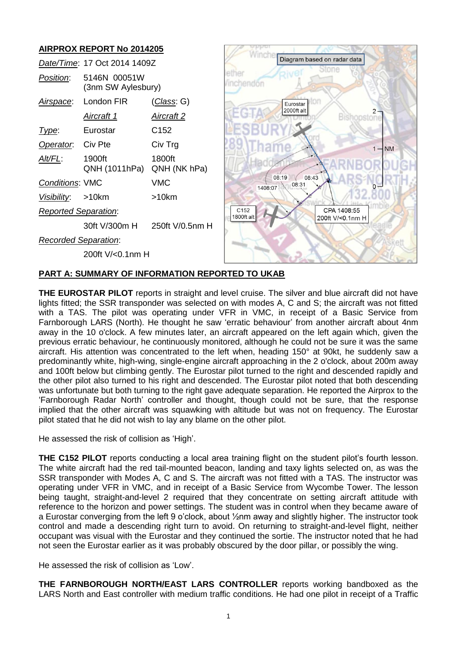

# **PART A: SUMMARY OF INFORMATION REPORTED TO UKAB**

**THE EUROSTAR PILOT** reports in straight and level cruise. The silver and blue aircraft did not have lights fitted; the SSR transponder was selected on with modes A, C and S; the aircraft was not fitted with a TAS. The pilot was operating under VFR in VMC, in receipt of a Basic Service from Farnborough LARS (North). He thought he saw 'erratic behaviour' from another aircraft about 4nm away in the 10 o'clock. A few minutes later, an aircraft appeared on the left again which, given the previous erratic behaviour, he continuously monitored, although he could not be sure it was the same aircraft. His attention was concentrated to the left when, heading 150° at 90kt, he suddenly saw a predominantly white, high-wing, single-engine aircraft approaching in the 2 o'clock, about 200m away and 100ft below but climbing gently. The Eurostar pilot turned to the right and descended rapidly and the other pilot also turned to his right and descended. The Eurostar pilot noted that both descending was unfortunate but both turning to the right gave adequate separation. He reported the Airprox to the 'Farnborough Radar North' controller and thought, though could not be sure, that the response implied that the other aircraft was squawking with altitude but was not on frequency. The Eurostar pilot stated that he did not wish to lay any blame on the other pilot.

He assessed the risk of collision as 'High'.

**THE C152 PILOT** reports conducting a local area training flight on the student pilot's fourth lesson. The white aircraft had the red tail-mounted beacon, landing and taxy lights selected on, as was the SSR transponder with Modes A, C and S. The aircraft was not fitted with a TAS. The instructor was operating under VFR in VMC, and in receipt of a Basic Service from Wycombe Tower. The lesson being taught, straight-and-level 2 required that they concentrate on setting aircraft attitude with reference to the horizon and power settings. The student was in control when they became aware of a Eurostar converging from the left 9 o'clock, about ½nm away and slightly higher. The instructor took control and made a descending right turn to avoid. On returning to straight-and-level flight, neither occupant was visual with the Eurostar and they continued the sortie. The instructor noted that he had not seen the Eurostar earlier as it was probably obscured by the door pillar, or possibly the wing.

He assessed the risk of collision as 'Low'.

**THE FARNBOROUGH NORTH/EAST LARS CONTROLLER** reports working bandboxed as the LARS North and East controller with medium traffic conditions. He had one pilot in receipt of a Traffic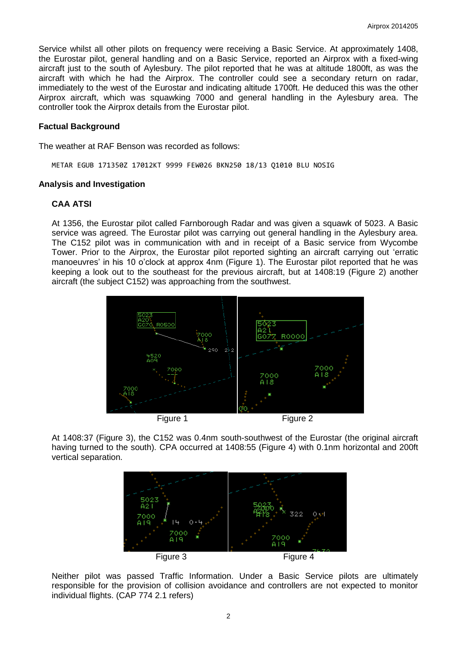Service whilst all other pilots on frequency were receiving a Basic Service. At approximately 1408, the Eurostar pilot, general handling and on a Basic Service, reported an Airprox with a fixed-wing aircraft just to the south of Aylesbury. The pilot reported that he was at altitude 1800ft, as was the aircraft with which he had the Airprox. The controller could see a secondary return on radar, immediately to the west of the Eurostar and indicating altitude 1700ft. He deduced this was the other Airprox aircraft, which was squawking 7000 and general handling in the Aylesbury area. The controller took the Airprox details from the Eurostar pilot.

### **Factual Background**

The weather at RAF Benson was recorded as follows:

METAR EGUB 171350Z 17012KT 9999 FEW026 BKN250 18/13 Q1010 BLU NOSIG

### **Analysis and Investigation**

# **CAA ATSI**

At 1356, the Eurostar pilot called Farnborough Radar and was given a squawk of 5023. A Basic service was agreed. The Eurostar pilot was carrying out general handling in the Aylesbury area. The C152 pilot was in communication with and in receipt of a Basic service from Wycombe Tower. Prior to the Airprox, the Eurostar pilot reported sighting an aircraft carrying out 'erratic manoeuvres' in his 10 o'clock at approx 4nm (Figure 1). The Eurostar pilot reported that he was keeping a look out to the southeast for the previous aircraft, but at 1408:19 (Figure 2) another aircraft (the subject C152) was approaching from the southwest.



At 1408:37 (Figure 3), the C152 was 0.4nm south-southwest of the Eurostar (the original aircraft having turned to the south). CPA occurred at 1408:55 (Figure 4) with 0.1nm horizontal and 200ft vertical separation.



Neither pilot was passed Traffic Information. Under a Basic Service pilots are ultimately responsible for the provision of collision avoidance and controllers are not expected to monitor individual flights. (CAP 774 2.1 refers)